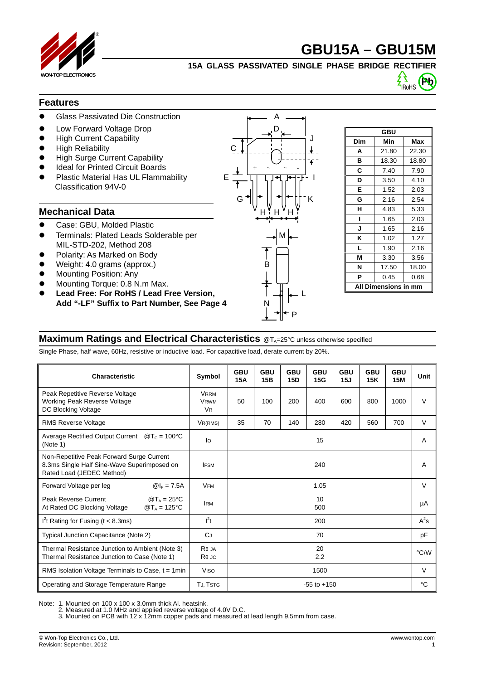

# **GBU15A – GBU15M**

### **15A GLASS PASSIVATED SINGLE PHASE BRIDGE RECTIFIER**



### **Features**

- Glass Passivated Die Construction A
- Low Forward Voltage Drop
- High Current Capability J
- High Reliability C
- High Surge Current Capability
- **Ideal for Printed Circuit Boards**
- Plastic Material Has UL Flammability Funds Classification 94V-0

### **Mechanical Data**

- Case: GBU, Molded Plastic
- Terminals: Plated Leads Solderable per MIL-STD-202, Method 208
- Polarity: As Marked on Body
- Weight: 4.0 grams (approx.) B
- Mounting Position: Any
- Mounting Torque: 0.8 N.m Max.
- Lead Free: For RoHS / Lead Free Version, Add "-LF" Suffix to Part Number, See Page 4



| GBU                   |       |       |  |  |  |  |
|-----------------------|-------|-------|--|--|--|--|
| Dim                   | Min   | Max   |  |  |  |  |
| A                     | 21.80 | 22.30 |  |  |  |  |
| в                     | 18.30 | 18.80 |  |  |  |  |
| C                     | 7.40  | 7.90  |  |  |  |  |
| D                     | 3.50  | 4.10  |  |  |  |  |
| E                     | 1.52  | 2.03  |  |  |  |  |
| G                     | 2.16  | 2.54  |  |  |  |  |
| н                     | 4.83  | 5.33  |  |  |  |  |
| ı                     | 1.65  | 2.03  |  |  |  |  |
| J                     | 1.65  | 2.16  |  |  |  |  |
| ĸ                     | 1.02  | 1.27  |  |  |  |  |
| L                     | 1.90  | 2.16  |  |  |  |  |
| М                     | 3.30  | 3.56  |  |  |  |  |
| N                     | 17.50 | 18.00 |  |  |  |  |
| P                     | 0.45  | 0.68  |  |  |  |  |
| Dimensions in mm<br>A |       |       |  |  |  |  |

### **Maximum Ratings and Electrical Characteristics** @T<sub>A</sub>=25°C unless otherwise specified

Single Phase, half wave, 60Hz, resistive or inductive load. For capacitive load, derate current by 20%.

| Characteristic                                                                                                                    | Symbol                                  | <b>GBU</b><br>15A | <b>GBU</b><br>15B | <b>GBU</b><br><b>15D</b> | <b>GBU</b><br>15G | <b>GBU</b><br>15J | <b>GBU</b><br>15K | <b>GBU</b><br><b>15M</b> | Unit   |
|-----------------------------------------------------------------------------------------------------------------------------------|-----------------------------------------|-------------------|-------------------|--------------------------|-------------------|-------------------|-------------------|--------------------------|--------|
| Peak Repetitive Reverse Voltage<br><b>Working Peak Reverse Voltage</b><br>DC Blocking Voltage                                     | <b>VRRM</b><br><b>VRWM</b><br><b>VR</b> | 50                | 100               | 200                      | 400               | 600               | 800               | 1000                     | $\vee$ |
| <b>RMS Reverse Voltage</b>                                                                                                        | VR(RMS)                                 | 35                | 70                | 140                      | 280               | 420               | 560               | 700                      | $\vee$ |
| <b>Average Rectified Output Current</b><br>$\mathcal{D}_{C} = 100^{\circ}C$<br>(Note 1)                                           | lo                                      | 15                |                   |                          |                   |                   |                   | A                        |        |
| Non-Repetitive Peak Forward Surge Current<br>8.3ms Single Half Sine-Wave Superimposed on<br>Rated Load (JEDEC Method)             | <b>IFSM</b>                             | 240               |                   |                          |                   |                   |                   | A                        |        |
| $@ _F = 7.5A$<br>Forward Voltage per leg                                                                                          | <b>VFM</b>                              |                   |                   |                          | 1.05              |                   |                   |                          | $\vee$ |
| Peak Reverse Current<br>$\mathcal{D}T_A = 25^{\circ}C$<br>$\mathbf{Q}T_A = 125^{\circ}\mathbf{C}$<br>At Rated DC Blocking Voltage | <b>IRM</b>                              | 10<br>500         |                   |                          |                   |                   |                   | μA                       |        |
| $I2t$ Rating for Fusing (t < 8.3ms)                                                                                               | $l^2t$                                  | 200               |                   |                          |                   |                   |                   | $A^2s$                   |        |
| Typical Junction Capacitance (Note 2)                                                                                             | CJ                                      | 70                |                   |                          |                   |                   |                   | pF                       |        |
| Thermal Resistance Junction to Ambient (Note 3)<br>Thermal Resistance Junction to Case (Note 1)                                   | R JA<br>R JC                            | 20<br>2.2         |                   |                          |                   |                   |                   | °C/W                     |        |
| RMS Isolation Voltage Terminals to Case, $t = 1$ min                                                                              | <b>Viso</b>                             | 1500              |                   |                          |                   |                   |                   | $\vee$                   |        |
| Operating and Storage Temperature Range                                                                                           | TJ, TSTG                                | $-55$ to $+150$   |                   |                          |                   |                   | °C                |                          |        |

Note: 1. Mounted on 100 x 100 x 3.0mm thick Al. heatsink.

2. Measured at 1.0 MHz and applied reverse voltage of 4.0V D.C.

3. Mounted on PCB with 12 x 12mm copper pads and measured at lead length 9.5mm from case.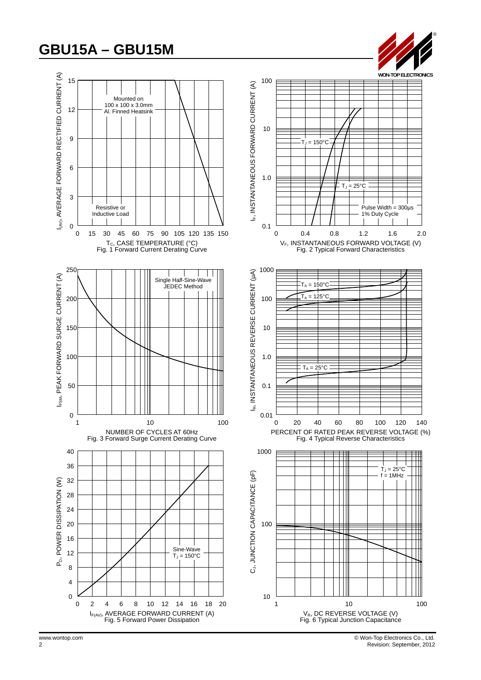## **GBU15A – GBU15M**









www.wontop.com © Won-Top Electronics Co., Ltd. 2 Revision: September, 2012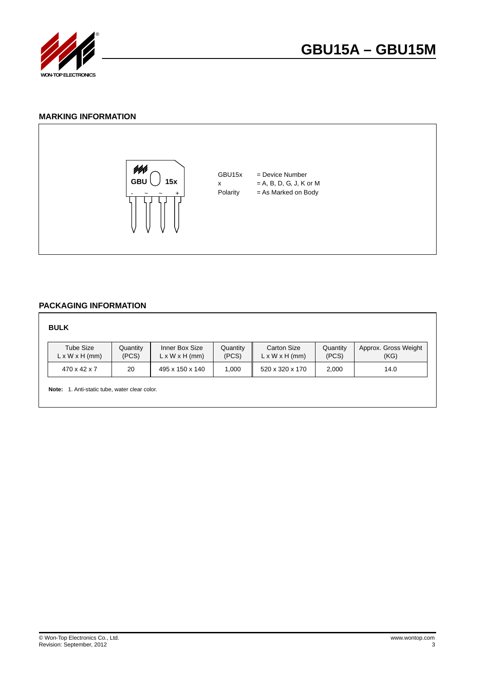

### **MARKING INFORMATION**



### **PACKAGING INFORMATION**

#### **BULK**

| Tube Size                  | Quantity | Inner Box Size             | Quantity | <b>Carton Size</b>         | Quantitv | Approx. Gross Weight |
|----------------------------|----------|----------------------------|----------|----------------------------|----------|----------------------|
| $L \times W \times H$ (mm) | (PCS)    | $L \times W \times H$ (mm) | (PCS)    | $L \times W \times H$ (mm) | (PCS)    | (KG)                 |
| 470 x 42 x 7               | 20       | 495 x 150 x 140            | .000     | 520 x 320 x 170            | 2,000    | 14.0                 |

**Note:** 1. Anti-static tube, water clear color.